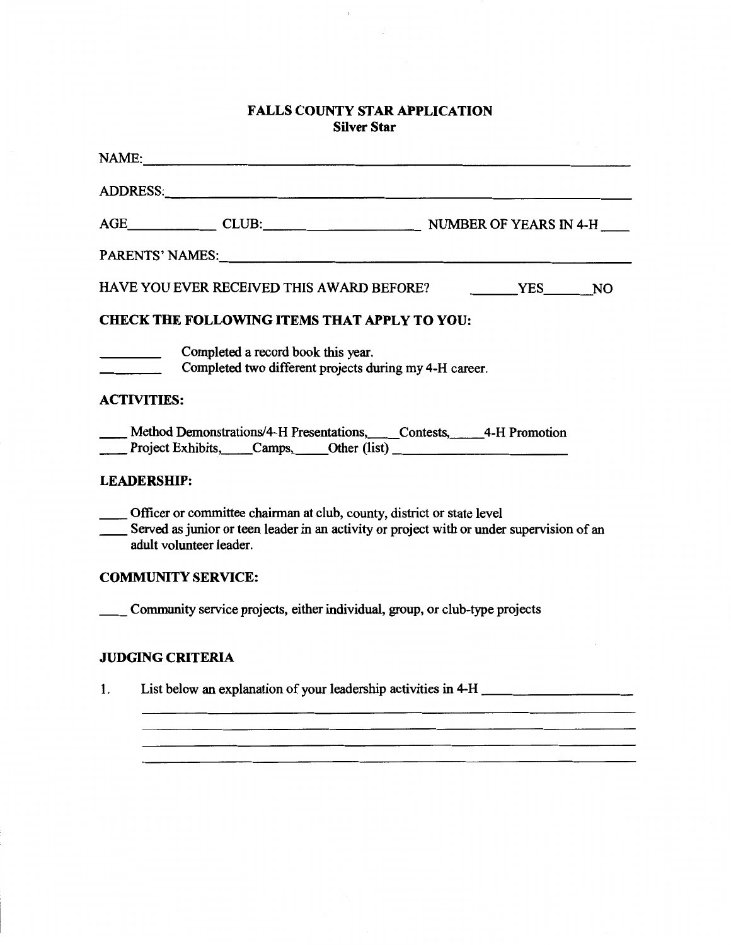## **FALLS COUNTY STAR APPLICATION Silver Star**

 $\epsilon$ 

|    | NAME:                                                                                                                                                                                          |  |  |  |
|----|------------------------------------------------------------------------------------------------------------------------------------------------------------------------------------------------|--|--|--|
|    |                                                                                                                                                                                                |  |  |  |
|    |                                                                                                                                                                                                |  |  |  |
|    | PARENTS' NAMES: NEWSLETTERS                                                                                                                                                                    |  |  |  |
|    | HAVE YOU EVER RECEIVED THIS AWARD BEFORE?<br>YES NO                                                                                                                                            |  |  |  |
|    | <b>CHECK THE FOLLOWING ITEMS THAT APPLY TO YOU:</b>                                                                                                                                            |  |  |  |
|    | Completed a record book this year.<br>Completed two different projects during my 4-H career.                                                                                                   |  |  |  |
|    | <b>ACTIVITIES:</b>                                                                                                                                                                             |  |  |  |
|    | Method Demonstrations/4-H Presentations, Contests, 4-H Promotion<br>Project Exhibits, Camps, Other (list)                                                                                      |  |  |  |
|    | <b>LEADERSHIP:</b>                                                                                                                                                                             |  |  |  |
|    | Officer or committee chairman at club, county, district or state level<br>Served as junior or teen leader in an activity or project with or under supervision of an<br>adult volunteer leader. |  |  |  |
|    | <b>COMMUNITY SERVICE:</b>                                                                                                                                                                      |  |  |  |
|    | Community service projects, either individual, group, or club-type projects                                                                                                                    |  |  |  |
|    | <b>JUDGING CRITERIA</b>                                                                                                                                                                        |  |  |  |
| 1. | List below an explanation of your leadership activities in 4-H                                                                                                                                 |  |  |  |